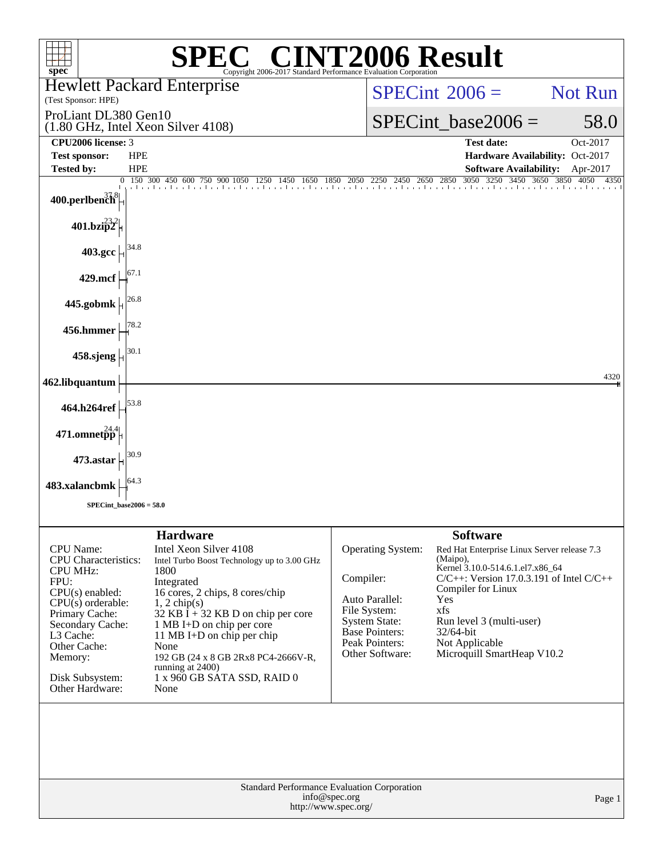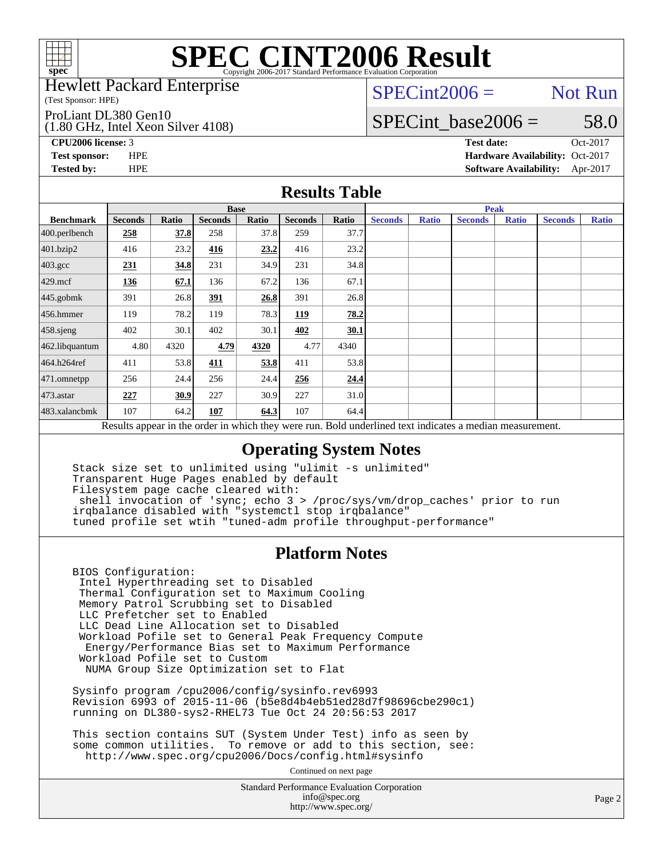

### Hewlett Packard Enterprise

(Test Sponsor: HPE)

ProLiant DL380 Gen10

(1.80 GHz, Intel Xeon Silver 4108)

 $SPECint2006 =$  Not Run

### SPECint base2006 =  $58.0$

**[CPU2006 license:](http://www.spec.org/auto/cpu2006/Docs/result-fields.html#CPU2006license)** 3 **[Test date:](http://www.spec.org/auto/cpu2006/Docs/result-fields.html#Testdate)** Oct-2017 **[Test sponsor:](http://www.spec.org/auto/cpu2006/Docs/result-fields.html#Testsponsor)** HPE **[Hardware Availability:](http://www.spec.org/auto/cpu2006/Docs/result-fields.html#HardwareAvailability)** Oct-2017 **[Tested by:](http://www.spec.org/auto/cpu2006/Docs/result-fields.html#Testedby)** HPE **[Software Availability:](http://www.spec.org/auto/cpu2006/Docs/result-fields.html#SoftwareAvailability)** Apr-2017

### **[Results Table](http://www.spec.org/auto/cpu2006/Docs/result-fields.html#ResultsTable)**

|                                                                                                          | <b>Base</b>    |       |                |       |                |       | <b>Peak</b>    |              |                |              |                |              |
|----------------------------------------------------------------------------------------------------------|----------------|-------|----------------|-------|----------------|-------|----------------|--------------|----------------|--------------|----------------|--------------|
| <b>Benchmark</b>                                                                                         | <b>Seconds</b> | Ratio | <b>Seconds</b> | Ratio | <b>Seconds</b> | Ratio | <b>Seconds</b> | <b>Ratio</b> | <b>Seconds</b> | <b>Ratio</b> | <b>Seconds</b> | <b>Ratio</b> |
| 400.perlbench                                                                                            | 258            | 37.8  | 258            | 37.8  | 259            | 37.7  |                |              |                |              |                |              |
| 401.bzip2                                                                                                | 416            | 23.2  | 416            | 23.2  | 416            | 23.2  |                |              |                |              |                |              |
| $403.\mathrm{gcc}$                                                                                       | 231            | 34.8  | 231            | 34.9  | 231            | 34.8  |                |              |                |              |                |              |
| $429$ .mcf                                                                                               | 136            | 67.1  | 136            | 67.2  | 136            | 67.1  |                |              |                |              |                |              |
| $445$ .gobmk                                                                                             | 391            | 26.8  | 391            | 26.8  | 391            | 26.8  |                |              |                |              |                |              |
| $456.$ hmmer                                                                                             | 119            | 78.2  | 119            | 78.3  | 119            | 78.2  |                |              |                |              |                |              |
| $458$ .sjeng                                                                                             | 402            | 30.1  | 402            | 30.1  | 402            | 30.1  |                |              |                |              |                |              |
| 462.libquantum                                                                                           | 4.80           | 4320  | 4.79           | 4320  | 4.77           | 4340  |                |              |                |              |                |              |
| 464.h264ref                                                                                              | 411            | 53.8  | 411            | 53.8  | 411            | 53.8  |                |              |                |              |                |              |
| $ 471$ .omnetpp                                                                                          | 256            | 24.4  | 256            | 24.4  | 256            | 24.4  |                |              |                |              |                |              |
| $473$ . astar                                                                                            | 227            | 30.9  | 227            | 30.9  | 227            | 31.0  |                |              |                |              |                |              |
| 483.xalancbmk                                                                                            | 107            | 64.2  | 107            | 64.3  | 107            | 64.4  |                |              |                |              |                |              |
| Results appear in the order in which they were run. Bold underlined text indicates a median measurement. |                |       |                |       |                |       |                |              |                |              |                |              |

### **[Operating System Notes](http://www.spec.org/auto/cpu2006/Docs/result-fields.html#OperatingSystemNotes)**

 Stack size set to unlimited using "ulimit -s unlimited" Transparent Huge Pages enabled by default Filesystem page cache cleared with: shell invocation of 'sync; echo 3 > /proc/sys/vm/drop\_caches' prior to run irqbalance disabled with "systemctl stop irqbalance" tuned profile set wtih "tuned-adm profile throughput-performance"

### **[Platform Notes](http://www.spec.org/auto/cpu2006/Docs/result-fields.html#PlatformNotes)**

 BIOS Configuration: Intel Hyperthreading set to Disabled Thermal Configuration set to Maximum Cooling Memory Patrol Scrubbing set to Disabled LLC Prefetcher set to Enabled LLC Dead Line Allocation set to Disabled Workload Pofile set to General Peak Frequency Compute Energy/Performance Bias set to Maximum Performance Workload Pofile set to Custom NUMA Group Size Optimization set to Flat

 Sysinfo program /cpu2006/config/sysinfo.rev6993 Revision 6993 of 2015-11-06 (b5e8d4b4eb51ed28d7f98696cbe290c1) running on DL380-sys2-RHEL73 Tue Oct 24 20:56:53 2017

 This section contains SUT (System Under Test) info as seen by some common utilities. To remove or add to this section, see: <http://www.spec.org/cpu2006/Docs/config.html#sysinfo>

Continued on next page

Standard Performance Evaluation Corporation [info@spec.org](mailto:info@spec.org) <http://www.spec.org/>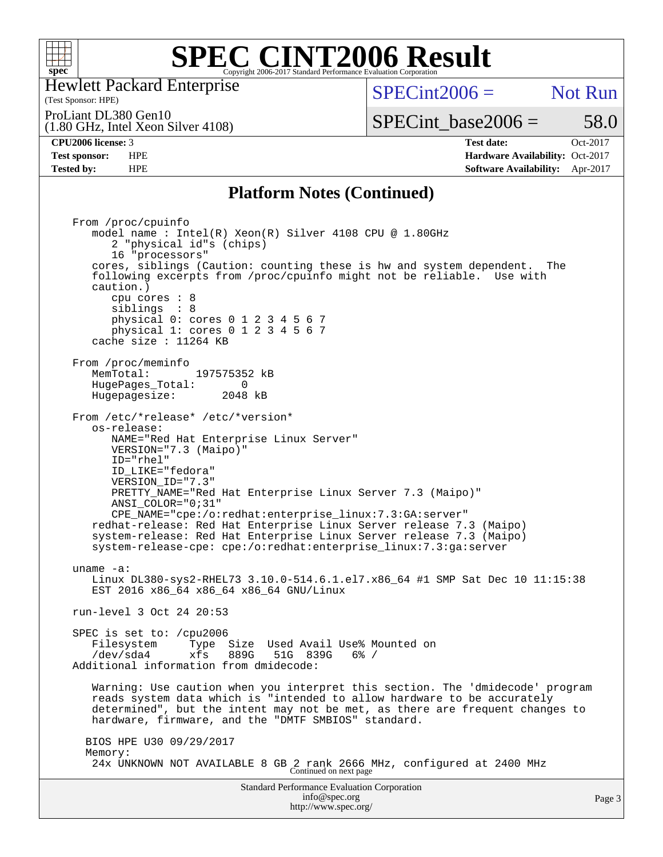

Hewlett Packard Enterprise

### (Test Sponsor: HPE)

 $SPECint2006 =$  Not Run

(1.80 GHz, Intel Xeon Silver 4108) ProLiant DL380 Gen10

## SPECint base2006 =  $58.0$

**[CPU2006 license:](http://www.spec.org/auto/cpu2006/Docs/result-fields.html#CPU2006license)** 3 **[Test date:](http://www.spec.org/auto/cpu2006/Docs/result-fields.html#Testdate)** Oct-2017 **[Test sponsor:](http://www.spec.org/auto/cpu2006/Docs/result-fields.html#Testsponsor)** HPE **[Hardware Availability:](http://www.spec.org/auto/cpu2006/Docs/result-fields.html#HardwareAvailability)** Oct-2017 **[Tested by:](http://www.spec.org/auto/cpu2006/Docs/result-fields.html#Testedby)** HPE **[Software Availability:](http://www.spec.org/auto/cpu2006/Docs/result-fields.html#SoftwareAvailability)** Apr-2017

### **[Platform Notes \(Continued\)](http://www.spec.org/auto/cpu2006/Docs/result-fields.html#PlatformNotes)**

Standard Performance Evaluation Corporation From /proc/cpuinfo model name : Intel(R) Xeon(R) Silver 4108 CPU @ 1.80GHz 2 "physical id"s (chips) 16 "processors" cores, siblings (Caution: counting these is hw and system dependent. The following excerpts from /proc/cpuinfo might not be reliable. Use with caution.) cpu cores : 8 siblings : 8 physical 0: cores 0 1 2 3 4 5 6 7 physical 1: cores 0 1 2 3 4 5 6 7 cache size : 11264 KB From /proc/meminfo MemTotal: 197575352 kB<br>HugePages Total: 0 HugePages\_Total: 0 Hugepagesize: 2048 kB From /etc/\*release\* /etc/\*version\* os-release: NAME="Red Hat Enterprise Linux Server" VERSION="7.3 (Maipo)" ID="rhel" ID\_LIKE="fedora" VERSION\_ID="7.3" PRETTY\_NAME="Red Hat Enterprise Linux Server 7.3 (Maipo)" ANSI\_COLOR="0;31" CPE\_NAME="cpe:/o:redhat:enterprise\_linux:7.3:GA:server" redhat-release: Red Hat Enterprise Linux Server release 7.3 (Maipo) system-release: Red Hat Enterprise Linux Server release 7.3 (Maipo) system-release-cpe: cpe:/o:redhat:enterprise\_linux:7.3:ga:server uname -a: Linux DL380-sys2-RHEL73 3.10.0-514.6.1.el7.x86\_64 #1 SMP Sat Dec 10 11:15:38 EST 2016 x86\_64 x86\_64 x86\_64 GNU/Linux run-level 3 Oct 24 20:53 SPEC is set to: /cpu2006 Filesystem Type Size Used Avail Use% Mounted on /dev/sda4 xfs 889G 51G 839G 6% / Additional information from dmidecode: Warning: Use caution when you interpret this section. The 'dmidecode' program reads system data which is "intended to allow hardware to be accurately determined", but the intent may not be met, as there are frequent changes to hardware, firmware, and the "DMTF SMBIOS" standard. BIOS HPE U30 09/29/2017 Memory: 24x UNKNOWN NOT AVAILABLE 8 GB 2 rank 2666 MHz, configured at 2400 MHz Continued on next page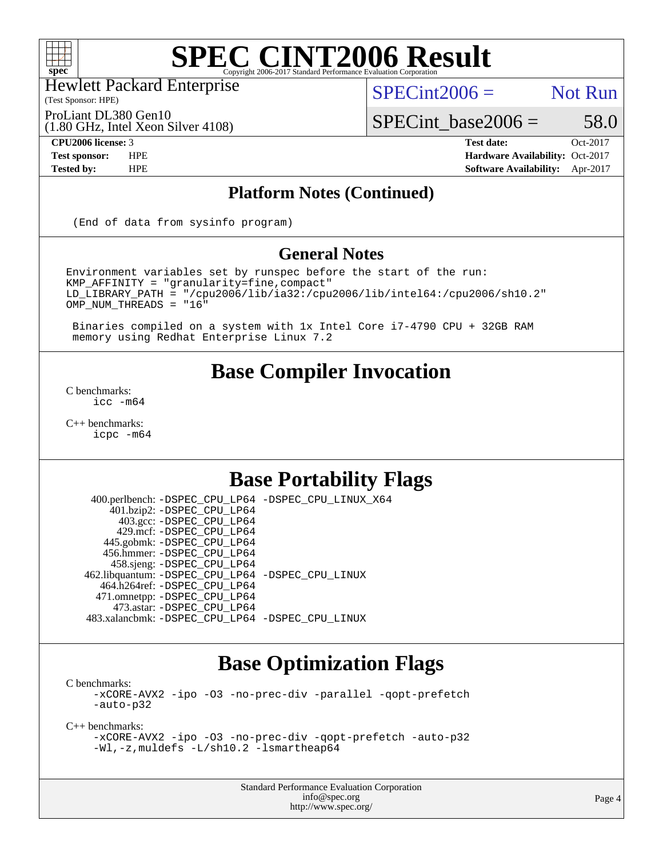

Hewlett Packard Enterprise

(Test Sponsor: HPE)

 $SPECint2006 =$  Not Run

(1.80 GHz, Intel Xeon Silver 4108) ProLiant DL380 Gen10

SPECint base2006 =  $58.0$ 

**[CPU2006 license:](http://www.spec.org/auto/cpu2006/Docs/result-fields.html#CPU2006license)** 3 **[Test date:](http://www.spec.org/auto/cpu2006/Docs/result-fields.html#Testdate)** Oct-2017 **[Test sponsor:](http://www.spec.org/auto/cpu2006/Docs/result-fields.html#Testsponsor)** HPE **[Hardware Availability:](http://www.spec.org/auto/cpu2006/Docs/result-fields.html#HardwareAvailability)** Oct-2017 **[Tested by:](http://www.spec.org/auto/cpu2006/Docs/result-fields.html#Testedby)** HPE **[Software Availability:](http://www.spec.org/auto/cpu2006/Docs/result-fields.html#SoftwareAvailability)** Apr-2017

### **[Platform Notes \(Continued\)](http://www.spec.org/auto/cpu2006/Docs/result-fields.html#PlatformNotes)**

(End of data from sysinfo program)

### **[General Notes](http://www.spec.org/auto/cpu2006/Docs/result-fields.html#GeneralNotes)**

Environment variables set by runspec before the start of the run: KMP\_AFFINITY = "granularity=fine,compact" LD\_LIBRARY\_PATH = "/cpu2006/lib/ia32:/cpu2006/lib/intel64:/cpu2006/sh10.2" OMP\_NUM\_THREADS = "16"

 Binaries compiled on a system with 1x Intel Core i7-4790 CPU + 32GB RAM memory using Redhat Enterprise Linux 7.2

## **[Base Compiler Invocation](http://www.spec.org/auto/cpu2006/Docs/result-fields.html#BaseCompilerInvocation)**

[C benchmarks](http://www.spec.org/auto/cpu2006/Docs/result-fields.html#Cbenchmarks): [icc -m64](http://www.spec.org/cpu2006/results/res2017q4/cpu2006-20171031-50495.flags.html#user_CCbase_intel_icc_64bit_bda6cc9af1fdbb0edc3795bac97ada53)

[C++ benchmarks:](http://www.spec.org/auto/cpu2006/Docs/result-fields.html#CXXbenchmarks) [icpc -m64](http://www.spec.org/cpu2006/results/res2017q4/cpu2006-20171031-50495.flags.html#user_CXXbase_intel_icpc_64bit_fc66a5337ce925472a5c54ad6a0de310)

# **[Base Portability Flags](http://www.spec.org/auto/cpu2006/Docs/result-fields.html#BasePortabilityFlags)**

 400.perlbench: [-DSPEC\\_CPU\\_LP64](http://www.spec.org/cpu2006/results/res2017q4/cpu2006-20171031-50495.flags.html#b400.perlbench_basePORTABILITY_DSPEC_CPU_LP64) [-DSPEC\\_CPU\\_LINUX\\_X64](http://www.spec.org/cpu2006/results/res2017q4/cpu2006-20171031-50495.flags.html#b400.perlbench_baseCPORTABILITY_DSPEC_CPU_LINUX_X64) 401.bzip2: [-DSPEC\\_CPU\\_LP64](http://www.spec.org/cpu2006/results/res2017q4/cpu2006-20171031-50495.flags.html#suite_basePORTABILITY401_bzip2_DSPEC_CPU_LP64) 403.gcc: [-DSPEC\\_CPU\\_LP64](http://www.spec.org/cpu2006/results/res2017q4/cpu2006-20171031-50495.flags.html#suite_basePORTABILITY403_gcc_DSPEC_CPU_LP64) 429.mcf: [-DSPEC\\_CPU\\_LP64](http://www.spec.org/cpu2006/results/res2017q4/cpu2006-20171031-50495.flags.html#suite_basePORTABILITY429_mcf_DSPEC_CPU_LP64) 445.gobmk: [-DSPEC\\_CPU\\_LP64](http://www.spec.org/cpu2006/results/res2017q4/cpu2006-20171031-50495.flags.html#suite_basePORTABILITY445_gobmk_DSPEC_CPU_LP64) 456.hmmer: [-DSPEC\\_CPU\\_LP64](http://www.spec.org/cpu2006/results/res2017q4/cpu2006-20171031-50495.flags.html#suite_basePORTABILITY456_hmmer_DSPEC_CPU_LP64) 458.sjeng: [-DSPEC\\_CPU\\_LP64](http://www.spec.org/cpu2006/results/res2017q4/cpu2006-20171031-50495.flags.html#suite_basePORTABILITY458_sjeng_DSPEC_CPU_LP64) 462.libquantum: [-DSPEC\\_CPU\\_LP64](http://www.spec.org/cpu2006/results/res2017q4/cpu2006-20171031-50495.flags.html#suite_basePORTABILITY462_libquantum_DSPEC_CPU_LP64) [-DSPEC\\_CPU\\_LINUX](http://www.spec.org/cpu2006/results/res2017q4/cpu2006-20171031-50495.flags.html#b462.libquantum_baseCPORTABILITY_DSPEC_CPU_LINUX) 464.h264ref: [-DSPEC\\_CPU\\_LP64](http://www.spec.org/cpu2006/results/res2017q4/cpu2006-20171031-50495.flags.html#suite_basePORTABILITY464_h264ref_DSPEC_CPU_LP64) 471.omnetpp: [-DSPEC\\_CPU\\_LP64](http://www.spec.org/cpu2006/results/res2017q4/cpu2006-20171031-50495.flags.html#suite_basePORTABILITY471_omnetpp_DSPEC_CPU_LP64) 473.astar: [-DSPEC\\_CPU\\_LP64](http://www.spec.org/cpu2006/results/res2017q4/cpu2006-20171031-50495.flags.html#suite_basePORTABILITY473_astar_DSPEC_CPU_LP64) 483.xalancbmk: [-DSPEC\\_CPU\\_LP64](http://www.spec.org/cpu2006/results/res2017q4/cpu2006-20171031-50495.flags.html#suite_basePORTABILITY483_xalancbmk_DSPEC_CPU_LP64) [-DSPEC\\_CPU\\_LINUX](http://www.spec.org/cpu2006/results/res2017q4/cpu2006-20171031-50495.flags.html#b483.xalancbmk_baseCXXPORTABILITY_DSPEC_CPU_LINUX)

# **[Base Optimization Flags](http://www.spec.org/auto/cpu2006/Docs/result-fields.html#BaseOptimizationFlags)**

[C benchmarks](http://www.spec.org/auto/cpu2006/Docs/result-fields.html#Cbenchmarks):

[-xCORE-AVX2](http://www.spec.org/cpu2006/results/res2017q4/cpu2006-20171031-50495.flags.html#user_CCbase_f-xCORE-AVX2) [-ipo](http://www.spec.org/cpu2006/results/res2017q4/cpu2006-20171031-50495.flags.html#user_CCbase_f-ipo) [-O3](http://www.spec.org/cpu2006/results/res2017q4/cpu2006-20171031-50495.flags.html#user_CCbase_f-O3) [-no-prec-div](http://www.spec.org/cpu2006/results/res2017q4/cpu2006-20171031-50495.flags.html#user_CCbase_f-no-prec-div) [-parallel](http://www.spec.org/cpu2006/results/res2017q4/cpu2006-20171031-50495.flags.html#user_CCbase_f-parallel) [-qopt-prefetch](http://www.spec.org/cpu2006/results/res2017q4/cpu2006-20171031-50495.flags.html#user_CCbase_f-qopt-prefetch) [-auto-p32](http://www.spec.org/cpu2006/results/res2017q4/cpu2006-20171031-50495.flags.html#user_CCbase_f-auto-p32)

[C++ benchmarks:](http://www.spec.org/auto/cpu2006/Docs/result-fields.html#CXXbenchmarks)

[-xCORE-AVX2](http://www.spec.org/cpu2006/results/res2017q4/cpu2006-20171031-50495.flags.html#user_CXXbase_f-xCORE-AVX2) [-ipo](http://www.spec.org/cpu2006/results/res2017q4/cpu2006-20171031-50495.flags.html#user_CXXbase_f-ipo) [-O3](http://www.spec.org/cpu2006/results/res2017q4/cpu2006-20171031-50495.flags.html#user_CXXbase_f-O3) [-no-prec-div](http://www.spec.org/cpu2006/results/res2017q4/cpu2006-20171031-50495.flags.html#user_CXXbase_f-no-prec-div) [-qopt-prefetch](http://www.spec.org/cpu2006/results/res2017q4/cpu2006-20171031-50495.flags.html#user_CXXbase_f-qopt-prefetch) [-auto-p32](http://www.spec.org/cpu2006/results/res2017q4/cpu2006-20171031-50495.flags.html#user_CXXbase_f-auto-p32) [-Wl,-z,muldefs](http://www.spec.org/cpu2006/results/res2017q4/cpu2006-20171031-50495.flags.html#user_CXXbase_link_force_multiple1_74079c344b956b9658436fd1b6dd3a8a) [-L/sh10.2 -lsmartheap64](http://www.spec.org/cpu2006/results/res2017q4/cpu2006-20171031-50495.flags.html#user_CXXbase_SmartHeap64_63911d860fc08c15fa1d5bf319b9d8d5)

> Standard Performance Evaluation Corporation [info@spec.org](mailto:info@spec.org) <http://www.spec.org/>